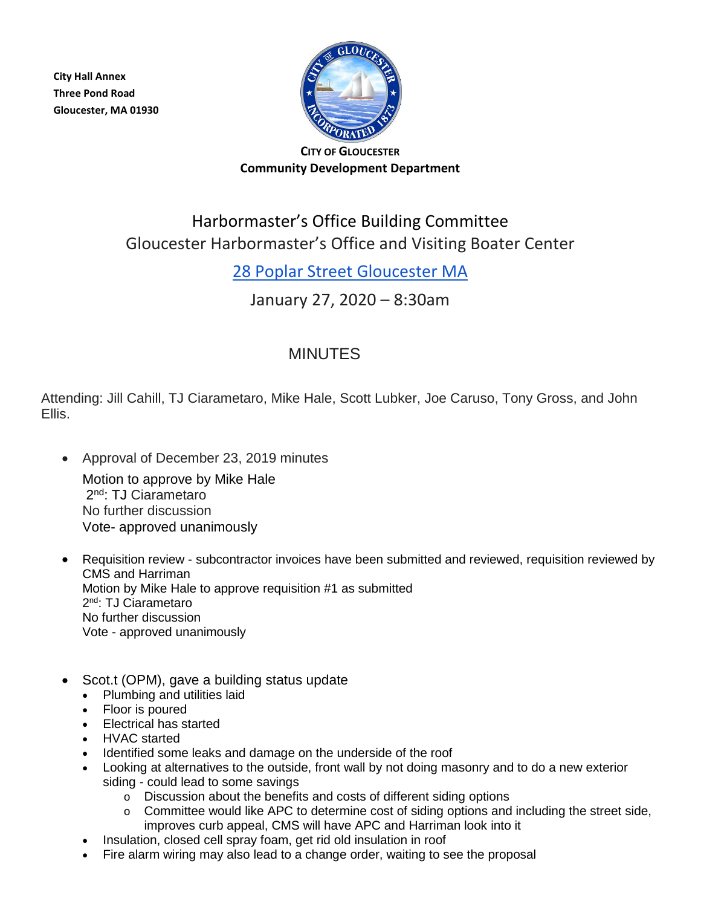**City Hall Annex Three Pond Road Gloucester, MA 01930**



#### **CITY OF GLOUCESTER Community Development Department**

# Harbormaster's Office Building Committee Gloucester Harbormaster's Office and Visiting Boater Center

### [28 Poplar Street Gloucester](https://maps.google.com/?q=19+Harbor+Loop+Gloucester+MA&entry=gmail&source=g) MA

### January 27, 2020 – 8:30am

## MINUTES

Attending: Jill Cahill, TJ Ciarametaro, Mike Hale, Scott Lubker, Joe Caruso, Tony Gross, and John Ellis.

• Approval of December 23, 2019 minutes

Motion to approve by Mike Hale 2nd: TJ Ciarametaro No further discussion Vote- approved unanimously

- Requisition review subcontractor invoices have been submitted and reviewed, requisition reviewed by CMS and Harriman Motion by Mike Hale to approve requisition #1 as submitted 2<sup>nd</sup>: TJ Ciarametaro No further discussion Vote - approved unanimously
- Scot.t (OPM), gave a building status update
	- Plumbing and utilities laid
	- Floor is poured
	- Electrical has started
	- HVAC started
	- Identified some leaks and damage on the underside of the roof
	- Looking at alternatives to the outside, front wall by not doing masonry and to do a new exterior siding - could lead to some savings
		- o Discussion about the benefits and costs of different siding options
		- o Committee would like APC to determine cost of siding options and including the street side, improves curb appeal, CMS will have APC and Harriman look into it
	- Insulation, closed cell spray foam, get rid old insulation in roof
	- Fire alarm wiring may also lead to a change order, waiting to see the proposal